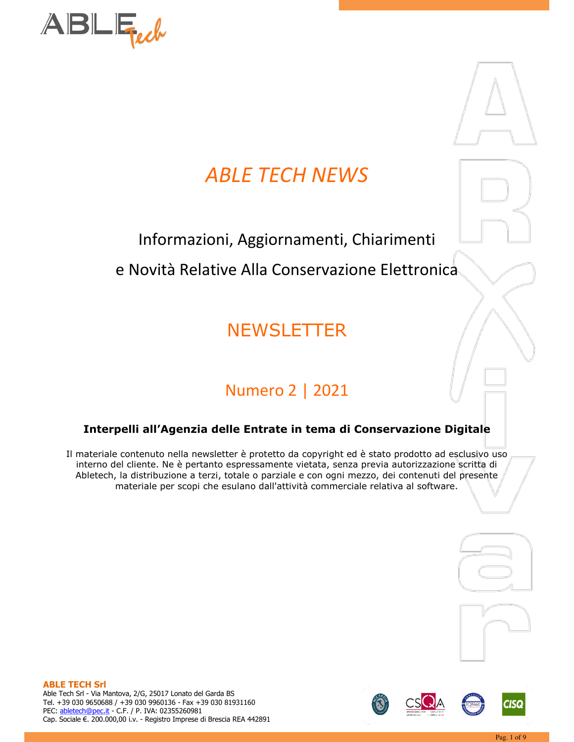

# **ABLE TECH NEWS**

# Informazioni, Aggiornamenti, Chiarimenti

e Novità Relative Alla Conservazione Elettronica

# **NEWSLETTER**

# **Numero 2 | 2021**

# Interpelli all'Agenzia delle Entrate in tema di Conservazione Digitale

Il materiale contenuto nella newsletter è protetto da copyright ed è stato prodotto ad esclusivo uso interno del cliente. Ne è pertanto espressamente vietata, senza previa autorizzazione scritta di Abletech, la distribuzione a terzi, totale o parziale e con ogni mezzo, dei contenuti del presente materiale per scopi che esulano dall'attività commerciale relativa al software.





**ABLE TECH Srl** 

Able Tech Srl - Via Mantova, 2/G, 25017 Lonato del Garda BS Tel. +39 030 9650688 / +39 030 9960136 - Fax +39 030 81931160 PEC: abletech@pec.it - C.F. / P. IVA: 02355260981 Cap. Sociale €. 200.000,00 i.v. - Registro Imprese di Brescia REA 442891



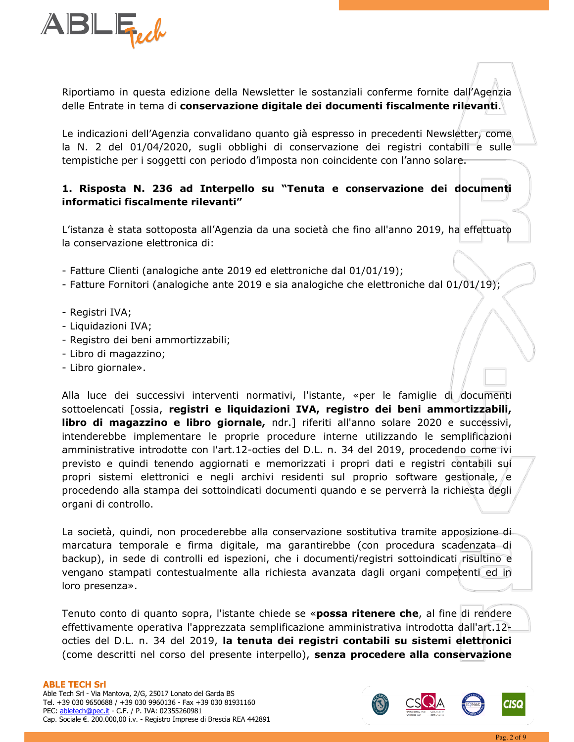

Riportiamo in questa edizione della Newsletter le sostanziali conferme fornite dall'Agenzia delle Entrate in tema di conservazione digitale dei documenti fiscalmente rilevanti.

Le indicazioni dell'Agenzia convalidano quanto già espresso in precedenti Newsletter, come la N. 2 del 01/04/2020, sugli obblighi di conservazione dei registri contabili e sulle tempistiche per i soggetti con periodo d'imposta non coincidente con l'anno solare.

# 1. Risposta N. 236 ad Interpello su "Tenuta e conservazione dei documenti informatici fiscalmente rilevanti"

L'istanza è stata sottoposta all'Agenzia da una società che fino all'anno 2019, ha effettuato la conservazione elettronica di:

- Fatture Clienti (analogiche ante 2019 ed elettroniche dal 01/01/19);
- Fatture Fornitori (analogiche ante 2019 e sia analogiche che elettroniche dal 01/01/19);
- Registri IVA;
- Liquidazioni IVA;
- Registro dei beni ammortizzabili;
- Libro di magazzino;
- Libro giornale».

Alla luce dei successivi interventi normativi, l'istante, «per le famiglie di documenti sottoelencati [ossia, registri e liquidazioni IVA, registro dei beni ammortizzabili, libro di magazzino e libro giornale, ndr.] riferiti all'anno solare 2020 e successivi, intenderebbe implementare le proprie procedure interne utilizzando le semplificazioni amministrative introdotte con l'art.12-octies del D.L. n. 34 del 2019, procedendo come ivi previsto e quindi tenendo aggiornati e memorizzati i propri dati e registri contabili sul propri sistemi elettronici e negli archivi residenti sul proprio software gestionale, e procedendo alla stampa dei sottoindicati documenti quando e se perverrà la richiesta degli organi di controllo.

La società, quindi, non procederebbe alla conservazione sostitutiva tramite apposizione di marcatura temporale e firma digitale, ma garantirebbe (con procedura scadenzata di backup), in sede di controlli ed ispezioni, che i documenti/registri sottoindicati risultino e vengano stampati contestualmente alla richiesta avanzata dagli organi competenti ed in loro presenza».

Tenuto conto di quanto sopra, l'istante chiede se «possa ritenere che, al fine di rendere effettivamente operativa l'apprezzata semplificazione amministrativa introdotta dall'art.12+ octies del D.L. n. 34 del 2019, la tenuta dei registri contabili su sistemi elettronici (come descritti nel corso del presente interpello), senza procedere alla conservazione

### **ABLE TECH Srl**

Able Tech Srl - Via Mantova, 2/G, 25017 Lonato del Garda BS Tel. +39 030 9650688 / +39 030 9960136 - Fax +39 030 81931160 PEC: abletech@pec.it - C.F. / P. IVA: 02355260981 Cap. Sociale €. 200.000,00 i.v. - Registro Imprese di Brescia REA 442891

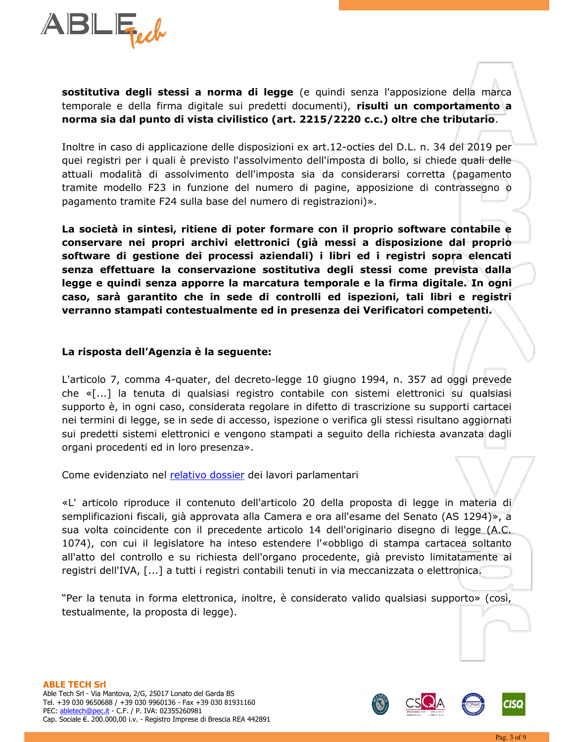

sostitutiva degli stessi a norma di legge (e quindi senza l'apposizione della marca temporale e della firma digitale sui predetti documenti), risulti un comportamento a norma sia dal punto di vista civilistico (art. 2215/2220 c.c.) oltre che tributario.

Inoltre in caso di applicazione delle disposizioni ex art.12-octies del D.L. n. 34 del 2019 per quei registri per i quali è previsto l'assolvimento dell'imposta di bollo, si chiede quali delleattuali modalità di assolvimento dell'imposta sia da considerarsi corretta (pagamento tramite modello F23 in funzione del numero di pagine, apposizione di contrassegno o pagamento tramite F24 sulla base del numero di registrazioni)».

La società in sintesi, ritiene di poter formare con il proprio software contabile e conservare nei propri archivi elettronici (già messi a disposizione dal propriosoftware di gestione dei processi aziendali) i libri ed i registri sopra elencati senza effettuare la conservazione sostitutiva degli stessi come prevista dalla legge e quindi senza apporre la marcatura temporale e la firma digitale. In ogni caso, sarà garantito che in sede di controlli ed ispezioni, tali libri e registri verranno stampati contestualmente ed in presenza dei Verificatori competenti.

## La risposta dell'Agenzia è la seguente:

L'articolo 7, comma 4-quater, del decreto-legge 10 giugno 1994, n. 357 ad oggi prevede che «[...] la tenuta di qualsiasi registro contabile con sistemi elettronici su qualsiasi supporto è, in ogni caso, considerata regolare in difetto di trascrizione su supporti cartacei nei termini di legge, se in sede di accesso, ispezione o verifica gli stessi risultano aggiornati sui predetti sistemi elettronici e vengono stampati a seguito della richiesta avanzata dagli organi procedenti ed in loro presenza».

Come evidenziato nel relativo dossier dei lavori parlamentari

«L' articolo riproduce il contenuto dell'articolo 20 della proposta di legge in materia di semplificazioni fiscali, già approvata alla Camera e ora all'esame del Senato (AS 1294)», a sua volta coincidente con il precedente articolo 14 dell'originario disegno di legge (A.C. 1074), con cui il legislatore ha inteso estendere l'«obbligo di stampa cartacea soltanto all'atto del controllo e su richiesta dell'organo procedente, già previsto limitatamente ai registri dell'IVA, [...] a tutti i registri contabili tenuti in via meccanizzata o elettronica.

"Per la tenuta in forma elettronica, inoltre, è considerato valido qualsiasi supporto» (così, testualmente, la proposta di legge).



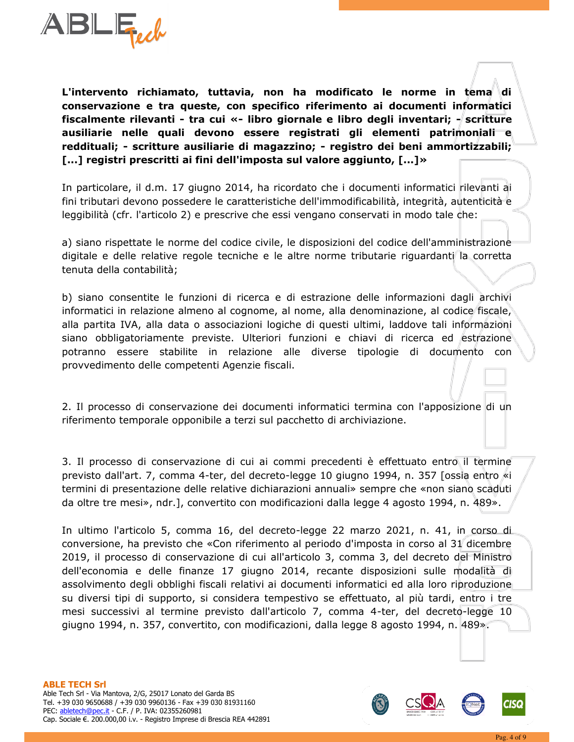

L'intervento richiamato, tuttavia, non ha modificato le norme in tema di conservazione e tra queste, con specifico riferimento ai documenti informatici fiscalmente rilevanti - tra cui «- libro giornale e libro degli inventari; - scritture ausiliarie nelle quali devono essere registrati gli elementi patrimoniali e reddituali; - scritture ausiliarie di magazzino; - registro dei beni ammortizzabili; [...] registri prescritti ai fini dell'imposta sul valore aggiunto,  $[...]$  »

In particolare, il d.m. 17 giugno 2014, ha ricordato che i documenti informatici rilevanti di fini tributari devono possedere le caratteristiche dell'immodificabilità, integrità, autenticità e leggibilità (cfr. l'articolo 2) e prescrive che essi vengano conservati in modo tale che:

a) siano rispettate le norme del codice civile, le disposizioni del codice dell'amministrazione digitale e delle relative regole tecniche e le altre norme tributarie riguardanti la corretta tenuta della contabilità;

b) siano consentite le funzioni di ricerca e di estrazione delle informazioni dagli archivi informatici in relazione almeno al cognome, al nome, alla denominazione, al codice fiscale, alla partita IVA, alla data o associazioni logiche di questi ultimi, laddove tali informazioni siano obbligatoriamente previste. Ulteriori funzioni e chiavi di ricerca ed estrazione potranno essere stabilite in relazione alle diverse tipologie di documento con provvedimento delle competenti Agenzie fiscali.

2. Il processo di conservazione dei documenti informatici termina con l'apposizione di un riferimento temporale opponibile a terzi sul pacchetto di archiviazione.

3. Il processo di conservazione di cui ai commi precedenti è effettuato entro il termine previsto dall'art. 7, comma 4-ter, del decreto-legge 10 giugno 1994, n. 357 [ossia entro «i termini di presentazione delle relative dichiarazioni annuali» sempre che «non siano scaduti da oltre tre mesi», ndr.], convertito con modificazioni dalla legge 4 agosto 1994, n. 489».

In ultimo l'articolo 5, comma 16, del decreto-legge 22 marzo 2021, n. 41, in corso di conversione, ha previsto che «Con riferimento al periodo d'imposta in corso al 31 dicembre 2019, il processo di conservazione di cui all'articolo 3, comma 3, del decreto del Ministro dell'economia e delle finanze 17 giugno 2014, recante disposizioni sulle modalità di assolvimento degli obblighi fiscali relativi ai documenti informatici ed alla loro riproduzione su diversi tipi di supporto, si considera tempestivo se effettuato, al più tardi, entro i tre mesi successivi al termine previsto dall'articolo 7, comma 4-ter, del decreto-legge 10 giugno 1994, n. 357, convertito, con modificazioni, dalla legge 8 agosto 1994, n. 489».

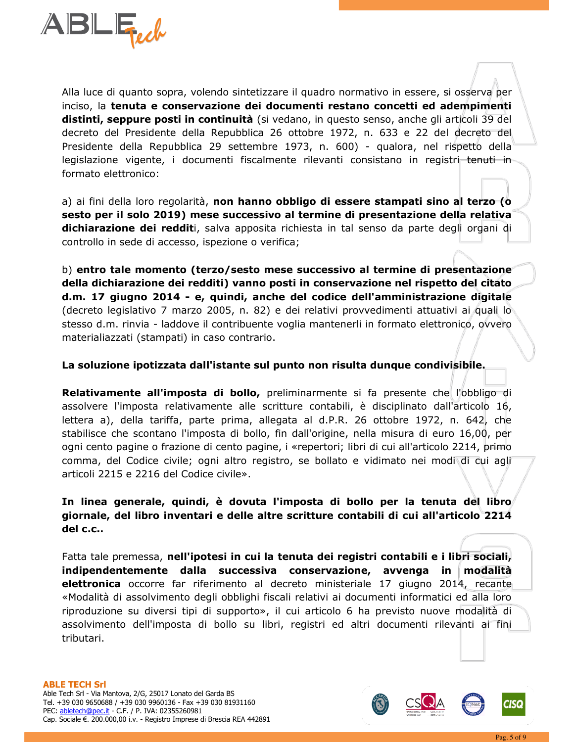

Alla luce di quanto sopra, volendo sintetizzare il quadro normativo in essere, si osserva per inciso, la tenuta e conservazione dei documenti restano concetti ed adempimenti distinti, seppure posti in continuità (si vedano, in questo senso, anche gli articoli 39 del decreto del Presidente della Repubblica 26 ottobre 1972, n. 633 e 22 del decreto del Presidente della Repubblica 29 settembre 1973, n. 600) - qualora, nel rispetto della legislazione vigente, i documenti fiscalmente rilevanti consistano in registri tenuti in formato elettronico:

a) ai fini della loro regolarità, non hanno obbligo di essere stampati sino al terzo (o sesto per il solo 2019) mese successivo al termine di presentazione della relativa dichiarazione dei redditi, salva apposita richiesta in tal senso da parte degli organi di controllo in sede di accesso, ispezione o verifica;

b) entro tale momento (terzo/sesto mese successivo al termine di presentazione della dichiarazione dei redditi) vanno posti in conservazione nel rispetto del citato d.m. 17 giugno 2014 - e, quindi, anche del codice dell'amministrazione digitale (decreto legislativo 7 marzo 2005, n. 82) e dei relativi provvedimenti attuativi ai quali lo stesso d.m. rinvia - laddove il contribuente voglia mantenerli in formato elettronico, ovvero materialiazzati (stampati) in caso contrario.

### La soluzione ipotizzata dall'istante sul punto non risulta dunque condivisibile.

Relativamente all'imposta di bollo, preliminarmente si fa presente che l'obbligo di assolvere l'imposta relativamente alle scritture contabili, è disciplinato dall'articolo 16, lettera a), della tariffa, parte prima, allegata al d.P.R. 26 ottobre 1972, n. 642, che stabilisce che scontano l'imposta di bollo, fin dall'origine, nella misura di euro 16,00, per ogni cento pagine o frazione di cento pagine, i «repertori; libri di cui all'articolo 2214, primo comma, del Codice civile; ogni altro registro, se bollato e vidimato nei modi di cui agli articoli 2215 e 2216 del Codice civile».

In linea generale, quindi, è dovuta l'imposta di bollo per la tenuta del libro giornale, del libro inventari e delle altre scritture contabili di cui all'articolo 2214 del c.c..

Fatta tale premessa, nell'ipotesi in cui la tenuta dei registri contabili e i libri sociali, indipendentemente dalla successiva conservazione, avvenga in modalità elettronica occorre far riferimento al decreto ministeriale 17 giugno 2014, recante «Modalità di assolvimento degli obblighi fiscali relativi ai documenti informatici ed alla loro riproduzione su diversi tipi di supporto», il cui articolo 6 ha previsto nuove modalità di assolvimento dell'imposta di bollo su libri, registri ed altri documenti rilevanti ai fini tributari.

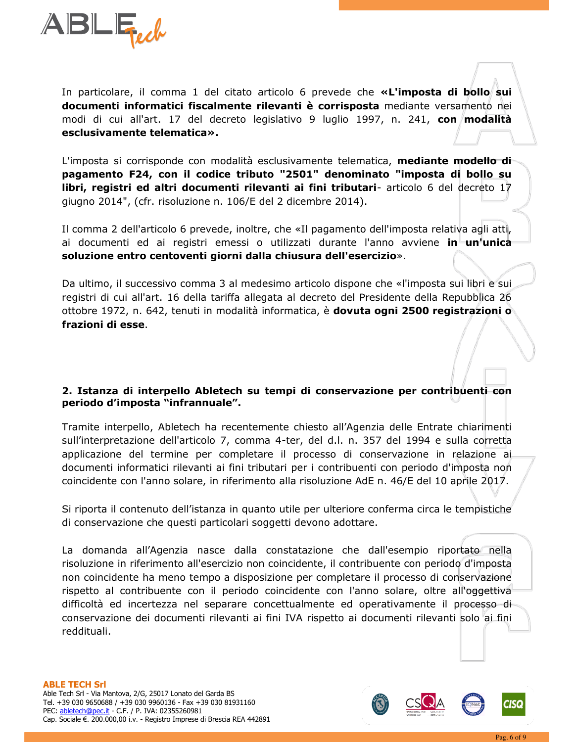

In particolare, il comma 1 del citato articolo 6 prevede che «L'imposta di bollo sui documenti informatici fiscalmente rilevanti è corrisposta mediante versamento nei modi di cui all'art. 17 del decreto legislativo 9 luglio 1997, n. 241, con modalità esclusivamente telematica».

L'imposta si corrisponde con modalità esclusivamente telematica, **mediante modello di** pagamento F24, con il codice tributo "2501" denominato "imposta di bollo su libri, registri ed altri documenti rilevanti ai fini tributari- articolo 6 del decreto 17 giugno 2014", (cfr. risoluzione n. 106/E del 2 dicembre 2014).

Il comma 2 dell'articolo 6 prevede, inoltre, che «Il pagamento dell'imposta relativa agli atti, ai documenti ed ai registri emessi o utilizzati durante l'anno avviene in un'unica soluzione entro centoventi giorni dalla chiusura dell'esercizio».

Da ultimo, il successivo comma 3 al medesimo articolo dispone che «l'imposta sui libri e sui registri di cui all'art. 16 della tariffa allegata al decreto del Presidente della Repubblica 26 ottobre 1972, n. 642, tenuti in modalità informatica, è dovuta ogni 2500 registrazioni o frazioni di esse.

## 2. Istanza di interpello Abletech su tempi di conservazione per contribuenti con periodo d'imposta "infrannuale".

Tramite interpello, Abletech ha recentemente chiesto all'Agenzia delle Entrate chiarimenti sull'interpretazione dell'articolo 7, comma 4-ter, del d.l. n. 357 del 1994 e sulla corretta applicazione del termine per completare il processo di conservazione in relazione ai documenti informatici rilevanti ai fini tributari per i contribuenti con periodo d'imposta non coincidente con l'anno solare, in riferimento alla risoluzione AdE n. 46/E del 10 aprile 2017.

Si riporta il contenuto dell'istanza in quanto utile per ulteriore conferma circa le tempistiche di conservazione che questi particolari soggetti devono adottare.

La domanda all'Agenzia nasce dalla constatazione che dall'esempio riportato nella risoluzione in riferimento all'esercizio non coincidente, il contribuente con periodo d'imposta non coincidente ha meno tempo a disposizione per completare il processo di conservazione rispetto al contribuente con il periodo coincidente con l'anno solare, oltre all'oggettiva difficoltà ed incertezza nel separare concettualmente ed operativamente il processo-diconservazione dei documenti rilevanti ai fini IVA rispetto ai documenti rilevanti solo ai fini reddituali.

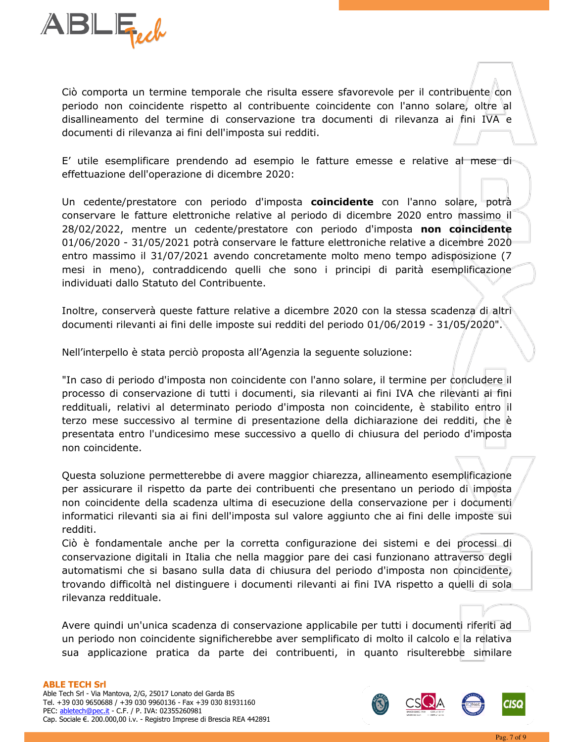

Ciò comporta un termine temporale che risulta essere sfavorevole per il contribuente con periodo non coincidente rispetto al contribuente coincidente con l'anno solare, oltre al disallineamento del termine di conservazione tra documenti di rilevanza ai fini IVA e documenti di rilevanza ai fini dell'imposta sui redditi.

E' utile esemplificare prendendo ad esempio le fatture emesse e relative al mese dieffettuazione dell'operazione di dicembre 2020:

Un cedente/prestatore con periodo d'imposta **coincidente** con l'anno solare, potrà conservare le fatture elettroniche relative al periodo di dicembre 2020 entro massimo il 28/02/2022, mentre un cedente/prestatore con periodo d'imposta non coincidente 01/06/2020 - 31/05/2021 potrà conservare le fatture elettroniche relative a dicembre 2020 entro massimo il 31/07/2021 avendo concretamente molto meno tempo adisposizione (7 mesi in meno), contraddicendo quelli che sono i principi di parità esemplificazione individuati dallo Statuto del Contribuente.

Inoltre, conserverà queste fatture relative a dicembre 2020 con la stessa scadenza di altri documenti rilevanti ai fini delle imposte sui redditi del periodo 01/06/2019 - 31/05/2020".

Nell'interpello è stata perciò proposta all'Agenzia la seguente soluzione:

"In caso di periodo d'imposta non coincidente con l'anno solare, il termine per concludere il processo di conservazione di tutti i documenti, sia rilevanti ai fini IVA che rilevanti ai fini reddituali, relativi al determinato periodo d'imposta non coincidente, è stabilito entro il terzo mese successivo al termine di presentazione della dichiarazione dei redditi, che è presentata entro l'undicesimo mese successivo a quello di chiusura del periodo d'imposta non coincidente.

Questa soluzione permetterebbe di avere maggior chiarezza, allineamento esemplificazione per assicurare il rispetto da parte dei contribuenti che presentano un periodo di imposta non coincidente della scadenza ultima di esecuzione della conservazione per i documenti informatici rilevanti sia ai fini dell'imposta sul valore aggiunto che ai fini delle imposte sui redditi.

Ciò è fondamentale anche per la corretta configurazione dei sistemi e dei processi di conservazione digitali in Italia che nella maggior pare dei casi funzionano attraverso degli automatismi che si basano sulla data di chiusura del periodo d'imposta non coincidente, trovando difficoltà nel distinguere i documenti rilevanti ai fini IVA rispetto a quelli di sola rilevanza reddituale.

Avere quindi un'unica scadenza di conservazione applicabile per tutti i documenti riferiti ad un periodo non coincidente significherebbe aver semplificato di molto il calcolo e la relativa sua applicazione pratica da parte dei contribuenti, in quanto risulterebbe similare

#### **ABLE TECH Srl**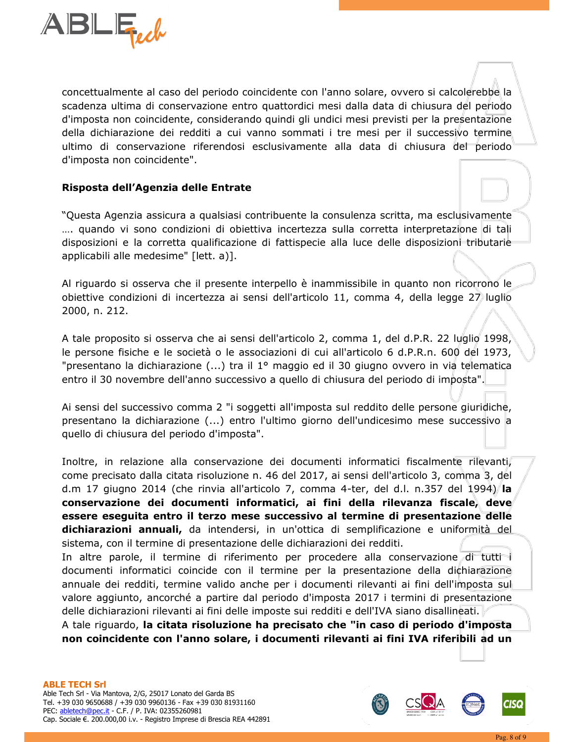

concettualmente al caso del periodo coincidente con l'anno solare, ovvero si calcolerebbe la scadenza ultima di conservazione entro quattordici mesi dalla data di chiusura del periodo d'imposta non coincidente, considerando quindi gli undici mesi previsti per la presentazione della dichiarazione dei redditi a cui vanno sommati i tre mesi per il successivo termine ultimo di conservazione riferendosi esclusivamente alla data di chiusura del periodo d'imposta non coincidente".

## Risposta dell'Agenzia delle Entrate

"Questa Agenzia assicura a qualsiasi contribuente la consulenza scritta, ma esclusivamente .... quando vi sono condizioni di obiettiva incertezza sulla corretta interpretazione di tali disposizioni e la corretta qualificazione di fattispecie alla luce delle disposizioni tributarie applicabili alle medesime" [lett. a)].

Al riguardo si osserva che il presente interpello è inammissibile in quanto non ricorrono le obiettive condizioni di incertezza ai sensi dell'articolo 11, comma 4, della legge 27 luglio 2000, n. 212.

A tale proposito si osserva che ai sensi dell'articolo 2, comma 1, del d.P.R. 22 luglio 1998, le persone fisiche e le società o le associazioni di cui all'articolo 6 d.P.R.n. 600 del 1973, "presentano la dichiarazione (...) tra il 1º maggio ed il 30 giugno ovvero in via telematica entro il 30 novembre dell'anno successivo a quello di chiusura del periodo di imposta".

Ai sensi del successivo comma 2 "i soggetti all'imposta sul reddito delle persone giuridiche, presentano la dichiarazione (...) entro l'ultimo giorno dell'undicesimo mese successivo a quello di chiusura del periodo d'imposta".

Inoltre, in relazione alla conservazione dei documenti informatici fiscalmente rilevanti, come precisato dalla citata risoluzione n. 46 del 2017, ai sensi dell'articolo 3, comma 3, del d.m 17 giugno 2014 (che rinvia all'articolo 7, comma 4-ter, del d.l. n.357 del 1994) la conservazione dei documenti informatici, ai fini della rilevanza fiscale, deve essere eseguita entro il terzo mese successivo al termine di presentazione delle dichiarazioni annuali, da intendersi, in un'ottica di semplificazione e uniformità del sistema, con il termine di presentazione delle dichiarazioni dei redditi.

In altre parole, il termine di riferimento per procedere alla conservazione di tutti i documenti informatici coincide con il termine per la presentazione della dichiarazione annuale dei redditi, termine valido anche per i documenti rilevanti ai fini dell'imposta sul valore aggiunto, ancorché a partire dal periodo d'imposta 2017 i termini di presentazione delle dichiarazioni rilevanti ai fini delle imposte sui redditi e dell'IVA siano disallineati.

A tale riguardo, la citata risoluzione ha precisato che "in caso di periodo d'imposta non coincidente con l'anno solare, i documenti rilevanti ai fini IVA riferibili ad un